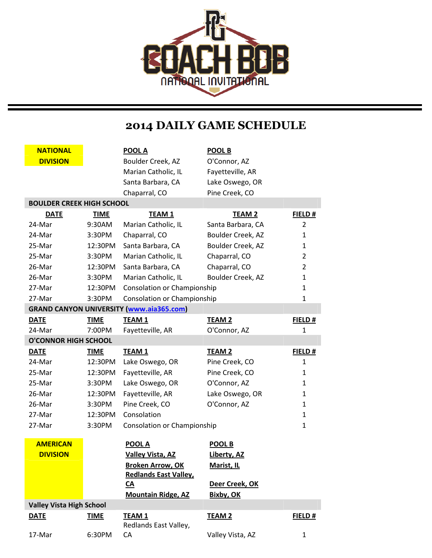

## **2014 DAILY GAME SCHEDULE**

| <b>NATIONAL</b><br><b>DIVISION</b> |             | <b>POOL A</b><br>Boulder Creek, AZ              | <b>POOL B</b><br>O'Connor, AZ |              |
|------------------------------------|-------------|-------------------------------------------------|-------------------------------|--------------|
|                                    |             | Marian Catholic, IL                             | Fayetteville, AR              |              |
|                                    |             | Santa Barbara, CA                               | Lake Oswego, OR               |              |
|                                    |             | Chaparral, CO                                   | Pine Creek, CO                |              |
| <b>BOULDER CREEK HIGH SCHOOL</b>   |             |                                                 |                               |              |
| <b>DATE</b>                        | <b>TIME</b> | <b>TEAM1</b>                                    | <b>TEAM 2</b>                 | FIELD #      |
| 24-Mar                             | 9:30AM      | Marian Catholic, IL                             | Santa Barbara, CA             | 2            |
| 24-Mar                             | 3:30PM      | Chaparral, CO                                   | Boulder Creek, AZ             | 1            |
| 25-Mar                             | 12:30PM     | Santa Barbara, CA                               | Boulder Creek, AZ             | 1            |
| 25-Mar                             | 3:30PM      | Marian Catholic, IL                             | Chaparral, CO                 | 2            |
| 26-Mar                             | 12:30PM     | Santa Barbara, CA                               | Chaparral, CO                 | 2            |
| 26-Mar                             | 3:30PM      | Marian Catholic, IL                             | Boulder Creek, AZ             | 1            |
| 27-Mar                             | 12:30PM     | Consolation or Championship                     |                               | 1            |
| 27-Mar                             | 3:30PM      | Consolation or Championship                     |                               | 1            |
|                                    |             | <b>GRAND CANYON UNIVERSITY (www.aia365.com)</b> |                               |              |
| <b>DATE</b>                        | <b>TIME</b> | <b>TEAM 1</b>                                   | <b>TEAM 2</b>                 | FIELD#       |
| 24-Mar                             | 7:00PM      | Fayetteville, AR                                | O'Connor, AZ                  | 1            |
| <b>O'CONNOR HIGH SCHOOL</b>        |             |                                                 |                               |              |
| <b>DATE</b>                        | <b>TIME</b> | <b>TEAM 1</b>                                   | <b>TEAM 2</b>                 | FIELD#       |
| 24-Mar                             | 12:30PM     | Lake Oswego, OR                                 | Pine Creek, CO                | $\mathbf{1}$ |
| 25-Mar                             | 12:30PM     | Fayetteville, AR                                | Pine Creek, CO                | 1            |
| 25-Mar                             | 3:30PM      | Lake Oswego, OR                                 | O'Connor, AZ                  | 1            |
| 26-Mar                             | 12:30PM     | Fayetteville, AR                                | Lake Oswego, OR               | 1            |
| 26-Mar                             | 3:30PM      | Pine Creek, CO                                  | O'Connor, AZ                  | 1            |
| 27-Mar                             | 12:30PM     | Consolation                                     |                               | 1            |
| 27-Mar                             | 3:30PM      | Consolation or Championship                     |                               | 1            |
| <b>AMERICAN</b>                    |             | <b>POOL A</b>                                   | <b>POOL B</b>                 |              |
| <b>DIVISION</b>                    |             | <b>Valley Vista, AZ</b>                         | Liberty, AZ                   |              |
|                                    |             | <b>Broken Arrow, OK</b>                         | <b>Marist, IL</b>             |              |
|                                    |             | <b>Redlands East Valley,</b>                    |                               |              |
|                                    |             | <u>CA</u>                                       | Deer Creek, OK                |              |
|                                    |             | <b>Mountain Ridge, AZ</b>                       | <b>Bixby, OK</b>              |              |
| <b>Valley Vista High School</b>    |             |                                                 |                               |              |
| <b>DATE</b>                        | <b>TIME</b> | <b>TEAM1</b><br>Redlands East Valley,           | <b>TEAM 2</b>                 | FIELD#       |
| 17-Mar                             | 6:30PM      | CA                                              | Valley Vista, AZ              | 1            |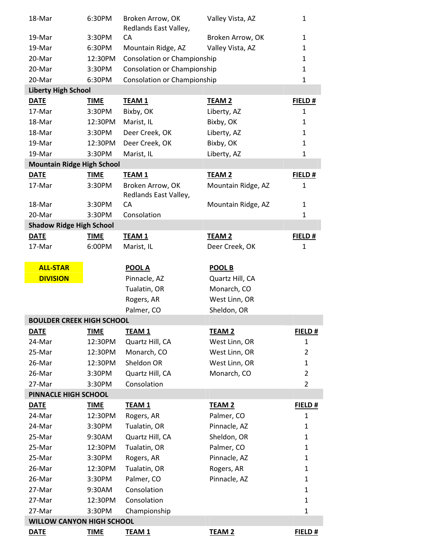| 18-Mar                            | 6:30PM      | Broken Arrow, OK            | Valley Vista, AZ   | $\mathbf{1}$   |
|-----------------------------------|-------------|-----------------------------|--------------------|----------------|
| 19-Mar                            | 3:30PM      | Redlands East Valley,<br>CA | Broken Arrow, OK   | $\mathbf{1}$   |
| 19-Mar                            | 6:30PM      | Mountain Ridge, AZ          | Valley Vista, AZ   | $\mathbf{1}$   |
| 20-Mar                            | 12:30PM     | Consolation or Championship |                    | $\mathbf{1}$   |
| 20-Mar                            | 3:30PM      | Consolation or Championship |                    | $\mathbf{1}$   |
| 20-Mar                            | 6:30PM      | Consolation or Championship |                    | $\mathbf{1}$   |
| <b>Liberty High School</b>        |             |                             |                    |                |
| <b>DATE</b>                       | <b>TIME</b> | TEAM <sub>1</sub>           | <b>TEAM 2</b>      | FIELD #        |
| 17-Mar                            | 3:30PM      | Bixby, OK                   | Liberty, AZ        | $\mathbf{1}$   |
| 18-Mar                            | 12:30PM     | Marist, IL                  | Bixby, OK          | $\mathbf{1}$   |
| 18-Mar                            | 3:30PM      | Deer Creek, OK              | Liberty, AZ        | $\mathbf{1}$   |
| 19-Mar                            | 12:30PM     | Deer Creek, OK              | Bixby, OK          | $\mathbf{1}$   |
| 19-Mar                            | 3:30PM      | Marist, IL                  | Liberty, AZ        | $\mathbf{1}$   |
| <b>Mountain Ridge High School</b> |             |                             |                    |                |
| <b>DATE</b>                       | <b>TIME</b> | <b>TEAM 1</b>               | <b>TEAM 2</b>      | FIELD #        |
| 17-Mar                            | 3:30PM      | Broken Arrow, OK            | Mountain Ridge, AZ | $\mathbf{1}$   |
|                                   |             | Redlands East Valley,       |                    |                |
| 18-Mar                            | 3:30PM      | CA                          | Mountain Ridge, AZ | $\mathbf{1}$   |
| 20-Mar                            | 3:30PM      | Consolation                 |                    | $\mathbf{1}$   |
| <b>Shadow Ridge High School</b>   |             |                             |                    |                |
| <b>DATE</b>                       | <b>TIME</b> | <b>TEAM 1</b>               | <b>TEAM 2</b>      | FIELD #        |
| 17-Mar                            | 6:00PM      | Marist, IL                  | Deer Creek, OK     | $\mathbf{1}$   |
|                                   |             |                             |                    |                |
| <b>ALL-STAR</b>                   |             | <b>POOL A</b>               | <b>POOL B</b>      |                |
| <b>DIVISION</b>                   |             | Pinnacle, AZ                | Quartz Hill, CA    |                |
|                                   |             | Tualatin, OR                | Monarch, CO        |                |
|                                   |             | Rogers, AR                  | West Linn, OR      |                |
|                                   |             | Palmer, CO                  | Sheldon, OR        |                |
| <b>BOULDER CREEK HIGH SCHOOL</b>  |             |                             |                    |                |
| <u>DATE</u>                       | <u>TIME</u> | <u>TEAM 1</u>               | <u>TEAM 2</u>      | <u>FIELD#</u>  |
| 24-Mar                            | 12:30PM     | Quartz Hill, CA             | West Linn, OR      | $\mathbf{1}$   |
| 25-Mar                            | 12:30PM     | Monarch, CO                 | West Linn, OR      | 2              |
| 26-Mar                            | 12:30PM     | Sheldon OR                  | West Linn, OR      | $\mathbf{1}$   |
| 26-Mar                            | 3:30PM      | Quartz Hill, CA             | Monarch, CO        | $\overline{2}$ |
| 27-Mar                            | 3:30PM      | Consolation                 |                    | $\overline{2}$ |
| PINNACLE HIGH SCHOOL              |             |                             |                    |                |
| <b>DATE</b>                       | <b>TIME</b> | <b>TEAM1</b>                | <b>TEAM 2</b>      | FIELD #        |
| 24-Mar                            | 12:30PM     | Rogers, AR                  | Palmer, CO         | $\mathbf{1}$   |
| 24-Mar                            | 3:30PM      | Tualatin, OR                | Pinnacle, AZ       | $\mathbf{1}$   |
| 25-Mar                            | 9:30AM      | Quartz Hill, CA             | Sheldon, OR        | $\mathbf{1}$   |
| 25-Mar                            | 12:30PM     | Tualatin, OR                | Palmer, CO         | $\mathbf{1}$   |
| 25-Mar                            | 3:30PM      | Rogers, AR                  | Pinnacle, AZ       | $\mathbf{1}$   |
| 26-Mar                            | 12:30PM     | Tualatin, OR                | Rogers, AR         | $\mathbf{1}$   |
| 26-Mar                            | 3:30PM      | Palmer, CO                  | Pinnacle, AZ       | $\mathbf{1}$   |
| 27-Mar                            | 9:30AM      | Consolation                 |                    | $\mathbf{1}$   |
| 27-Mar                            | 12:30PM     | Consolation                 |                    | $\mathbf{1}$   |
| 27-Mar                            | 3:30PM      | Championship                |                    | $\mathbf{1}$   |
| <b>WILLOW CANYON HIGH SCHOOL</b>  |             |                             |                    |                |
| <b>DATE</b>                       | <b>TIME</b> | TEAM <sub>1</sub>           | <b>TEAM 2</b>      | FIELD #        |
|                                   |             |                             |                    |                |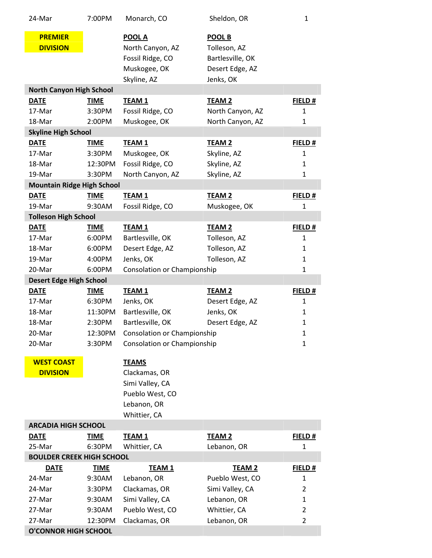| 24-Mar                            | 7:00PM      | Monarch, CO                 | Sheldon, OR      | $\mathbf{1}$   |
|-----------------------------------|-------------|-----------------------------|------------------|----------------|
| <b>PREMIER</b>                    |             | <b>POOL A</b>               | <b>POOL B</b>    |                |
| <b>DIVISION</b>                   |             | North Canyon, AZ            | Tolleson, AZ     |                |
|                                   |             | Fossil Ridge, CO            | Bartlesville, OK |                |
|                                   |             |                             |                  |                |
|                                   |             | Muskogee, OK                | Desert Edge, AZ  |                |
| <b>North Canyon High School</b>   |             | Skyline, AZ                 | Jenks, OK        |                |
| <b>DATE</b>                       | <b>TIME</b> | <b>TEAM1</b>                | <b>TEAM 2</b>    | FIELD #        |
| 17-Mar                            | 3:30PM      | Fossil Ridge, CO            | North Canyon, AZ | $\mathbf{1}$   |
|                                   |             |                             |                  |                |
| 18-Mar                            | 2:00PM      | Muskogee, OK                | North Canyon, AZ | $\mathbf{1}$   |
| <b>Skyline High School</b>        |             |                             |                  |                |
| <b>DATE</b>                       | <b>TIME</b> | <b>TEAM1</b>                | <b>TEAM 2</b>    | FIELD #        |
| 17-Mar                            | 3:30PM      | Muskogee, OK                | Skyline, AZ      | $\mathbf{1}$   |
| 18-Mar                            | 12:30PM     | Fossil Ridge, CO            | Skyline, AZ      | $\mathbf{1}$   |
| 19-Mar                            | 3:30PM      | North Canyon, AZ            | Skyline, AZ      | $\mathbf{1}$   |
| <b>Mountain Ridge High School</b> |             |                             |                  |                |
| <b>DATE</b>                       | <b>TIME</b> | <b>TEAM1</b>                | <b>TEAM 2</b>    | FIELD #        |
| 19-Mar                            | 9:30AM      | Fossil Ridge, CO            | Muskogee, OK     | $\mathbf{1}$   |
| <b>Tolleson High School</b>       |             |                             |                  |                |
| <b>DATE</b>                       | <b>TIME</b> | <b>TEAM1</b>                | <b>TEAM 2</b>    | FIELD #        |
| 17-Mar                            | 6:00PM      | Bartlesville, OK            | Tolleson, AZ     | $\mathbf{1}$   |
| 18-Mar                            | 6:00PM      | Desert Edge, AZ             | Tolleson, AZ     | $\mathbf{1}$   |
| 19-Mar                            | 4:00PM      | Jenks, OK                   | Tolleson, AZ     | $\mathbf{1}$   |
| 20-Mar                            | 6:00PM      | Consolation or Championship |                  | $\mathbf{1}$   |
| <b>Desert Edge High School</b>    |             |                             |                  |                |
| <b>DATE</b>                       | <b>TIME</b> | <b>TEAM1</b>                | <b>TEAM 2</b>    | FIELD #        |
|                                   |             |                             |                  |                |
| 17-Mar                            | 6:30PM      | Jenks, OK                   | Desert Edge, AZ  | $\mathbf{1}$   |
| 18-Mar                            | 11:30PM     | Bartlesville, OK            | Jenks, OK        | $\mathbf{1}$   |
| 18-Mar                            | 2:30PM      | Bartlesville, OK            | Desert Edge, AZ  | $\mathbf 1$    |
| 20-Mar                            | 12:30PM     | Consolation or Championship |                  | $\mathbf{1}$   |
| 20-Mar                            | 3:30PM      | Consolation or Championship |                  | $\mathbf{1}$   |
|                                   |             |                             |                  |                |
| <b>WEST COAST</b>                 |             | <b>TEAMS</b>                |                  |                |
| <b>DIVISION</b>                   |             | Clackamas, OR               |                  |                |
|                                   |             | Simi Valley, CA             |                  |                |
|                                   |             | Pueblo West, CO             |                  |                |
|                                   |             | Lebanon, OR                 |                  |                |
|                                   |             | Whittier, CA                |                  |                |
| <b>ARCADIA HIGH SCHOOL</b>        |             |                             |                  |                |
| <b>DATE</b>                       | <b>TIME</b> | <b>TEAM 1</b>               | <b>TEAM 2</b>    | FIELD#         |
| 25-Mar                            | 6:30PM      | Whittier, CA                | Lebanon, OR      | 1              |
| <b>BOULDER CREEK HIGH SCHOOL</b>  |             |                             |                  |                |
| <b>DATE</b>                       | <b>TIME</b> | <b>TEAM1</b>                | <b>TEAM 2</b>    | FIELD#         |
| 24-Mar                            | 9:30AM      | Lebanon, OR                 | Pueblo West, CO  | 1              |
| 24-Mar                            | 3:30PM      | Clackamas, OR               | Simi Valley, CA  | 2              |
| 27-Mar                            | 9:30AM      | Simi Valley, CA             | Lebanon, OR      | 1              |
| 27-Mar                            | 9:30AM      | Pueblo West, CO             | Whittier, CA     | $\overline{2}$ |
| 27-Mar                            | 12:30PM     | Clackamas, OR               | Lebanon, OR      | $\overline{2}$ |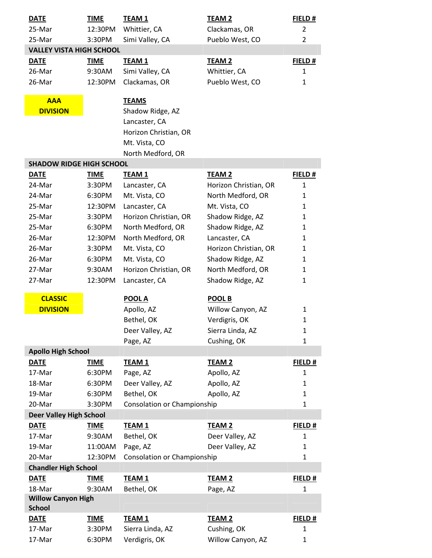| <b>DATE</b>                     | <b>TIME</b> | <b>TEAM 1</b>               | <b>TEAM 2</b>         | FIELD#         |
|---------------------------------|-------------|-----------------------------|-----------------------|----------------|
| 25-Mar                          | 12:30PM     | Whittier, CA                | Clackamas, OR         | $\overline{2}$ |
| 25-Mar                          | 3:30PM      | Simi Valley, CA             | Pueblo West, CO       | 2              |
| <b>VALLEY VISTA HIGH SCHOOL</b> |             |                             |                       |                |
| <b>DATE</b>                     | <b>TIME</b> | <b>TEAM 1</b>               | <b>TEAM 2</b>         | FIELD #        |
| 26-Mar                          | 9:30AM      | Simi Valley, CA             | Whittier, CA          | 1              |
| 26-Mar                          | 12:30PM     | Clackamas, OR               | Pueblo West, CO       | $\mathbf{1}$   |
| <b>AAA</b>                      |             | <b>TEAMS</b>                |                       |                |
| <b>DIVISION</b>                 |             | Shadow Ridge, AZ            |                       |                |
|                                 |             | Lancaster, CA               |                       |                |
|                                 |             | Horizon Christian, OR       |                       |                |
|                                 |             | Mt. Vista, CO               |                       |                |
|                                 |             | North Medford, OR           |                       |                |
| <b>SHADOW RIDGE HIGH SCHOOL</b> |             |                             |                       |                |
| <b>DATE</b>                     | <b>TIME</b> | <b>TEAM 1</b>               | <b>TEAM 2</b>         | FIELD #        |
| 24-Mar                          | 3:30PM      | Lancaster, CA               | Horizon Christian, OR | 1              |
| 24-Mar                          | 6:30PM      | Mt. Vista, CO               | North Medford, OR     | 1              |
| 25-Mar                          | 12:30PM     | Lancaster, CA               | Mt. Vista, CO         | 1              |
| 25-Mar                          | 3:30PM      | Horizon Christian, OR       | Shadow Ridge, AZ      | 1              |
| 25-Mar                          | 6:30PM      | North Medford, OR           | Shadow Ridge, AZ      | 1              |
| 26-Mar                          | 12:30PM     | North Medford, OR           | Lancaster, CA         | 1              |
| 26-Mar                          | 3:30PM      | Mt. Vista, CO               | Horizon Christian, OR | 1              |
| 26-Mar                          | 6:30PM      | Mt. Vista, CO               | Shadow Ridge, AZ      | 1              |
| 27-Mar                          | 9:30AM      | Horizon Christian, OR       | North Medford, OR     | 1              |
| 27-Mar                          | 12:30PM     | Lancaster, CA               | Shadow Ridge, AZ      | 1              |
| <b>CLASSIC</b>                  |             | <b>POOL A</b>               | POOL B                |                |
| <b>DIVISION</b>                 |             | Apollo, AZ                  | Willow Canyon, AZ     | 1              |
|                                 |             | Bethel, OK                  | Verdigris, OK         | $\mathbf{1}$   |
|                                 |             | Deer Valley, AZ             | Sierra Linda, AZ      | 1              |
|                                 |             | Page, AZ                    | Cushing, OK           | $\mathbf{1}$   |
| <b>Apollo High School</b>       |             |                             |                       |                |
| <b>DATE</b>                     | <b>TIME</b> | <b>TEAM1</b>                | <b>TEAM 2</b>         | FIELD #        |
| 17-Mar                          | 6:30PM      | Page, AZ                    | Apollo, AZ            | $\mathbf{1}$   |
| 18-Mar                          | 6:30PM      | Deer Valley, AZ             | Apollo, AZ            | 1              |
| 19-Mar                          | 6:30PM      | Bethel, OK                  | Apollo, AZ            | 1              |
| 20-Mar                          | 3:30PM      | Consolation or Championship |                       | $\mathbf{1}$   |
| <b>Deer Valley High School</b>  |             |                             |                       |                |
| <b>DATE</b>                     | <b>TIME</b> | <b>TEAM1</b>                | <b>TEAM 2</b>         | FIELD #        |
| 17-Mar                          | 9:30AM      | Bethel, OK                  | Deer Valley, AZ       | $\mathbf{1}$   |
| 19-Mar                          | 11:00AM     | Page, AZ                    | Deer Valley, AZ       | $\mathbf{1}$   |
| 20-Mar                          | 12:30PM     | Consolation or Championship |                       | $\mathbf{1}$   |
| <b>Chandler High School</b>     |             |                             |                       |                |
| <b>DATE</b>                     | <b>TIME</b> | <b>TEAM1</b>                | <b>TEAM 2</b>         | FIELD #        |
| 18-Mar                          | 9:30AM      | Bethel, OK                  | Page, AZ              | 1              |
| <b>Willow Canyon High</b>       |             |                             |                       |                |
| <b>School</b>                   |             |                             |                       |                |
| <b>DATE</b>                     | <b>TIME</b> | <b>TEAM1</b>                | <b>TEAM 2</b>         | FIELD #        |
| 17-Mar                          | 3:30PM      | Sierra Linda, AZ            | Cushing, OK           | $\mathbf{1}$   |
| 17-Mar                          | 6:30PM      | Verdigris, OK               | Willow Canyon, AZ     | $\mathbf{1}$   |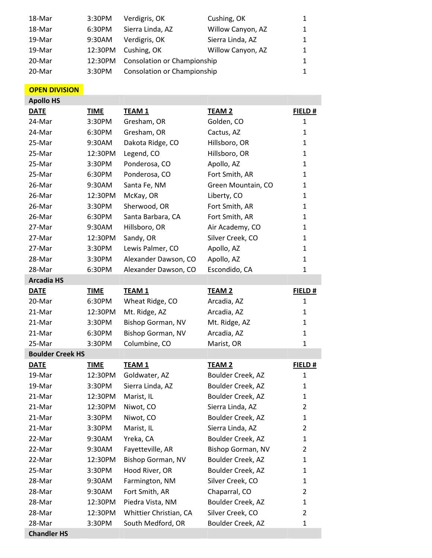| 18-Mar | 3:30PM  | Verdigris, OK               | Cushing, OK       | 1            |
|--------|---------|-----------------------------|-------------------|--------------|
| 18-Mar | 6:30PM  | Sierra Linda, AZ            | Willow Canyon, AZ | $\mathbf{1}$ |
| 19-Mar | 9:30AM  | Verdigris, OK               | Sierra Linda, AZ  | $\mathbf{1}$ |
| 19-Mar | 12:30PM | Cushing, OK                 | Willow Canyon, AZ | $\mathbf{1}$ |
| 20-Mar | 12:30PM | Consolation or Championship |                   | $\mathbf{1}$ |
| 20-Mar | 3:30PM  | Consolation or Championship |                   |              |

## **OPEN DIVISION Apollo HS**

| <b>APOIIO HS</b>        |             |                        |                    |                |
|-------------------------|-------------|------------------------|--------------------|----------------|
| <b>DATE</b>             | <b>TIME</b> | <b>TEAM 1</b>          | <b>TEAM 2</b>      | FIELD#         |
| 24-Mar                  | 3:30PM      | Gresham, OR            | Golden, CO         | $\mathbf{1}$   |
| 24-Mar                  | 6:30PM      | Gresham, OR            | Cactus, AZ         | 1              |
| 25-Mar                  | 9:30AM      | Dakota Ridge, CO       | Hillsboro, OR      | 1              |
| 25-Mar                  | 12:30PM     | Legend, CO             | Hillsboro, OR      | 1              |
| 25-Mar                  | 3:30PM      | Ponderosa, CO          | Apollo, AZ         | 1              |
| 25-Mar                  | 6:30PM      | Ponderosa, CO          | Fort Smith, AR     | 1              |
| 26-Mar                  | 9:30AM      | Santa Fe, NM           | Green Mountain, CO | 1              |
| 26-Mar                  | 12:30PM     | McKay, OR              | Liberty, CO        | $\mathbf{1}$   |
| 26-Mar                  | 3:30PM      | Sherwood, OR           | Fort Smith, AR     | 1              |
| 26-Mar                  | 6:30PM      | Santa Barbara, CA      | Fort Smith, AR     | 1              |
| 27-Mar                  | 9:30AM      | Hillsboro, OR          | Air Academy, CO    | 1              |
| 27-Mar                  | 12:30PM     | Sandy, OR              | Silver Creek, CO   | 1              |
| 27-Mar                  | 3:30PM      | Lewis Palmer, CO       | Apollo, AZ         | 1              |
| 28-Mar                  | 3:30PM      | Alexander Dawson, CO   | Apollo, AZ         | 1              |
| 28-Mar                  | 6:30PM      | Alexander Dawson, CO   | Escondido, CA      | 1              |
| <b>Arcadia HS</b>       |             |                        |                    |                |
| <b>DATE</b>             | <b>TIME</b> | <b>TEAM 1</b>          | <b>TEAM 2</b>      | FIELD #        |
| 20-Mar                  | 6:30PM      | Wheat Ridge, CO        | Arcadia, AZ        | $\mathbf{1}$   |
| 21-Mar                  | 12:30PM     | Mt. Ridge, AZ          | Arcadia, AZ        | 1              |
| 21-Mar                  | 3:30PM      | Bishop Gorman, NV      | Mt. Ridge, AZ      | 1              |
| 21-Mar                  | 6:30PM      | Bishop Gorman, NV      | Arcadia, AZ        | 1              |
| 25-Mar                  | 3:30PM      | Columbine, CO          | Marist, OR         | 1              |
| <b>Boulder Creek HS</b> |             |                        |                    |                |
| <b>DATE</b>             | <b>TIME</b> | <b>TEAM1</b>           | <b>TEAM 2</b>      | FIELD #        |
| 19-Mar                  | 12:30PM     | Goldwater, AZ          | Boulder Creek, AZ  | 1              |
| 19-Mar                  | 3:30PM      | Sierra Linda, AZ       | Boulder Creek, AZ  | 1              |
| 21-Mar                  | 12:30PM     | Marist, IL             | Boulder Creek, AZ  | 1              |
| 21-Mar                  | 12:30PM     | Niwot, CO              | Sierra Linda, AZ   | $\overline{2}$ |
| 21-Mar                  | 3:30PM      | Niwot, CO              | Boulder Creek, AZ  | 1              |
| 21-Mar                  | 3:30PM      | Marist, IL             | Sierra Linda, AZ   | $\overline{2}$ |
| 22-Mar                  | 9:30AM      | Yreka, CA              | Boulder Creek, AZ  | 1              |
| 22-Mar                  | 9:30AM      | Fayetteville, AR       | Bishop Gorman, NV  | 2              |
| 22-Mar                  | 12:30PM     | Bishop Gorman, NV      | Boulder Creek, AZ  | 1              |
| 25-Mar                  | 3:30PM      | Hood River, OR         | Boulder Creek, AZ  | 1              |
| 28-Mar                  | 9:30AM      | Farmington, NM         | Silver Creek, CO   | 1              |
| 28-Mar                  | 9:30AM      | Fort Smith, AR         | Chaparral, CO      | 2              |
| 28-Mar                  | 12:30PM     | Piedra Vista, NM       | Boulder Creek, AZ  | 1              |
| 28-Mar                  | 12:30PM     | Whittier Christian, CA | Silver Creek, CO   | 2              |
| 28-Mar                  | 3:30PM      | South Medford, OR      | Boulder Creek, AZ  | 1              |

**Chandler HS**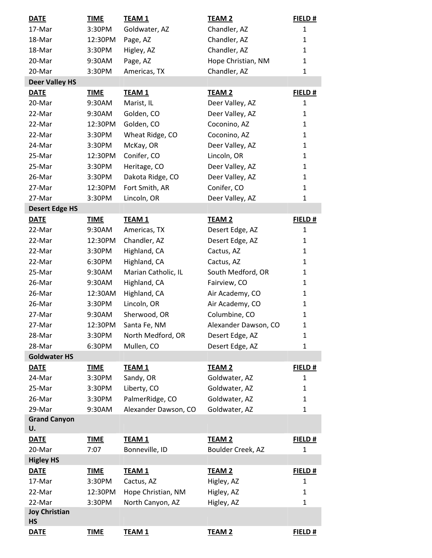| <b>DATE</b>                       | <b>TIME</b> | <b>TEAM 1</b>        | <b>TEAM 2</b>        | FIELD#       |
|-----------------------------------|-------------|----------------------|----------------------|--------------|
| 17-Mar                            | 3:30PM      | Goldwater, AZ        | Chandler, AZ         | $\mathbf{1}$ |
| 18-Mar                            | 12:30PM     | Page, AZ             | Chandler, AZ         | $\mathbf{1}$ |
| 18-Mar                            | 3:30PM      | Higley, AZ           | Chandler, AZ         | $\mathbf{1}$ |
| 20-Mar                            | 9:30AM      | Page, AZ             | Hope Christian, NM   | $\mathbf{1}$ |
| 20-Mar                            | 3:30PM      | Americas, TX         | Chandler, AZ         | $\mathbf{1}$ |
| <b>Deer Valley HS</b>             |             |                      |                      |              |
| <b>DATE</b>                       | <b>TIME</b> | <b>TEAM1</b>         | <b>TEAM 2</b>        | FIELD#       |
| 20-Mar                            | 9:30AM      | Marist, IL           | Deer Valley, AZ      | $\mathbf{1}$ |
| 22-Mar                            | 9:30AM      | Golden, CO           | Deer Valley, AZ      | $\mathbf{1}$ |
| 22-Mar                            | 12:30PM     | Golden, CO           | Coconino, AZ         | $\mathbf{1}$ |
| 22-Mar                            | 3:30PM      | Wheat Ridge, CO      | Coconino, AZ         | $\mathbf{1}$ |
| 24-Mar                            | 3:30PM      | McKay, OR            | Deer Valley, AZ      | $\mathbf{1}$ |
| 25-Mar                            | 12:30PM     | Conifer, CO          | Lincoln, OR          | $\mathbf{1}$ |
| 25-Mar                            | 3:30PM      | Heritage, CO         | Deer Valley, AZ      | $\mathbf{1}$ |
| 26-Mar                            | 3:30PM      | Dakota Ridge, CO     | Deer Valley, AZ      | $\mathbf{1}$ |
| 27-Mar                            | 12:30PM     | Fort Smith, AR       | Conifer, CO          | $\mathbf{1}$ |
| 27-Mar                            | 3:30PM      | Lincoln, OR          | Deer Valley, AZ      | $\mathbf{1}$ |
| <b>Desert Edge HS</b>             |             |                      |                      |              |
| <b>DATE</b>                       | <b>TIME</b> | <b>TEAM1</b>         | <b>TEAM 2</b>        | FIELD#       |
| 22-Mar                            | 9:30AM      | Americas, TX         | Desert Edge, AZ      | $\mathbf{1}$ |
| 22-Mar                            | 12:30PM     | Chandler, AZ         | Desert Edge, AZ      | 1            |
| 22-Mar                            | 3:30PM      | Highland, CA         | Cactus, AZ           | $\mathbf{1}$ |
| 22-Mar                            | 6:30PM      | Highland, CA         | Cactus, AZ           | $\mathbf{1}$ |
| 25-Mar                            | 9:30AM      | Marian Catholic, IL  | South Medford, OR    | $\mathbf{1}$ |
| 26-Mar                            | 9:30AM      | Highland, CA         | Fairview, CO         | $\mathbf{1}$ |
| 26-Mar                            | 12:30AM     | Highland, CA         | Air Academy, CO      | $\mathbf{1}$ |
| 26-Mar                            | 3:30PM      | Lincoln, OR          | Air Academy, CO      | $\mathbf{1}$ |
| 27-Mar                            | 9:30AM      | Sherwood, OR         | Columbine, CO        | $\mathbf{1}$ |
| 27-Mar                            | 12:30PM     | Santa Fe, NM         | Alexander Dawson, CO | $\mathbf{1}$ |
| 28-Mar                            | 3:30PM      | North Medford, OR    | Desert Edge, AZ      | 1            |
| 28-Mar                            | 6:30PM      | Mullen, CO           | Desert Edge, AZ      | $\mathbf{1}$ |
| <b>Goldwater HS</b>               |             |                      |                      |              |
| <b>DATE</b>                       | <b>TIME</b> | <b>TEAM1</b>         | <b>TEAM 2</b>        | FIELD#       |
| 24-Mar                            | 3:30PM      | Sandy, OR            | Goldwater, AZ        | $\mathbf{1}$ |
| 25-Mar                            | 3:30PM      | Liberty, CO          | Goldwater, AZ        | $\mathbf{1}$ |
| 26-Mar                            | 3:30PM      | PalmerRidge, CO      | Goldwater, AZ        | $\mathbf{1}$ |
| 29-Mar                            | 9:30AM      | Alexander Dawson, CO | Goldwater, AZ        | $\mathbf{1}$ |
| <b>Grand Canyon</b>               |             |                      |                      |              |
| U.                                |             |                      |                      |              |
| <b>DATE</b>                       | <b>TIME</b> | <b>TEAM1</b>         | <b>TEAM 2</b>        | FIELD#       |
| 20-Mar                            | 7:07        | Bonneville, ID       | Boulder Creek, AZ    | $\mathbf{1}$ |
| <b>Higley HS</b>                  |             |                      |                      |              |
| <b>DATE</b>                       | <b>TIME</b> | <b>TEAM1</b>         | <b>TEAM 2</b>        | FIELD#       |
| 17-Mar                            | 3:30PM      | Cactus, AZ           | Higley, AZ           | $\mathbf{1}$ |
| 22-Mar                            | 12:30PM     | Hope Christian, NM   | Higley, AZ           | $\mathbf{1}$ |
| 22-Mar                            | 3:30PM      | North Canyon, AZ     | Higley, AZ           | $\mathbf{1}$ |
| <b>Joy Christian</b><br><b>HS</b> |             |                      |                      |              |
| <b>DATE</b>                       | <b>TIME</b> | <b>TEAM1</b>         | <b>TEAM 2</b>        | FIELD#       |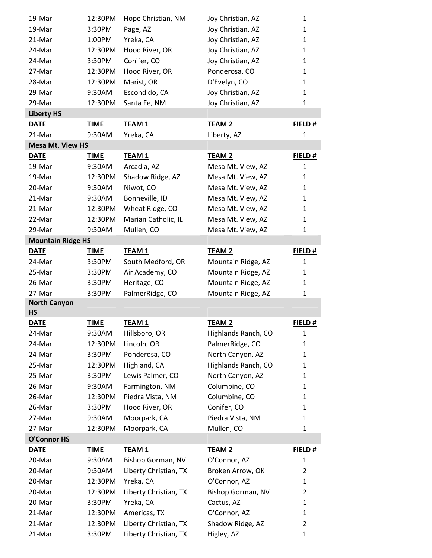| 19-Mar                   | 12:30PM     | Hope Christian, NM    | Joy Christian, AZ   | 1              |
|--------------------------|-------------|-----------------------|---------------------|----------------|
| 19-Mar                   | 3:30PM      | Page, AZ              | Joy Christian, AZ   | $\mathbf{1}$   |
| 21-Mar                   | 1:00PM      | Yreka, CA             | Joy Christian, AZ   | $\mathbf{1}$   |
| 24-Mar                   | 12:30PM     | Hood River, OR        | Joy Christian, AZ   | $\mathbf{1}$   |
| 24-Mar                   | 3:30PM      | Conifer, CO           | Joy Christian, AZ   | $\mathbf{1}$   |
| 27-Mar                   | 12:30PM     | Hood River, OR        | Ponderosa, CO       | $\mathbf{1}$   |
| 28-Mar                   | 12:30PM     | Marist, OR            | D'Evelyn, CO        | $\mathbf{1}$   |
| 29-Mar                   | 9:30AM      | Escondido, CA         | Joy Christian, AZ   | $\mathbf{1}$   |
| 29-Mar                   | 12:30PM     | Santa Fe, NM          | Joy Christian, AZ   | 1              |
| <b>Liberty HS</b>        |             |                       |                     |                |
| <b>DATE</b>              | <b>TIME</b> | <b>TEAM1</b>          | <b>TEAM 2</b>       | FIELD#         |
| 21-Mar                   | 9:30AM      | Yreka, CA             | Liberty, AZ         | 1              |
| <b>Mesa Mt. View HS</b>  |             |                       |                     |                |
| <b>DATE</b>              | <b>TIME</b> | <b>TEAM 1</b>         | <b>TEAM 2</b>       | FIELD#         |
| 19-Mar                   | 9:30AM      | Arcadia, AZ           | Mesa Mt. View, AZ   | $\mathbf{1}$   |
| 19-Mar                   | 12:30PM     | Shadow Ridge, AZ      | Mesa Mt. View, AZ   | $\mathbf{1}$   |
| 20-Mar                   | 9:30AM      | Niwot, CO             | Mesa Mt. View, AZ   | $\mathbf{1}$   |
| 21-Mar                   | 9:30AM      | Bonneville, ID        | Mesa Mt. View, AZ   | $\mathbf{1}$   |
| 21-Mar                   | 12:30PM     | Wheat Ridge, CO       | Mesa Mt. View, AZ   | $\mathbf{1}$   |
| 22-Mar                   | 12:30PM     | Marian Catholic, IL   | Mesa Mt. View, AZ   | 1              |
| 29-Mar                   | 9:30AM      | Mullen, CO            | Mesa Mt. View, AZ   | 1              |
| <b>Mountain Ridge HS</b> |             |                       |                     |                |
| <b>DATE</b>              | <b>TIME</b> | <b>TEAM 1</b>         | <b>TEAM 2</b>       | FIELD#         |
| 24-Mar                   | 3:30PM      | South Medford, OR     | Mountain Ridge, AZ  | 1              |
| 25-Mar                   | 3:30PM      | Air Academy, CO       | Mountain Ridge, AZ  | $\mathbf{1}$   |
| 26-Mar                   | 3:30PM      | Heritage, CO          | Mountain Ridge, AZ  | $\mathbf{1}$   |
| 27-Mar                   | 3:30PM      | PalmerRidge, CO       | Mountain Ridge, AZ  | $\mathbf{1}$   |
| <b>North Canyon</b>      |             |                       |                     |                |
| <b>HS</b>                |             |                       |                     |                |
| <b>DATE</b>              | <b>TIME</b> | <b>TEAM1</b>          | <b>TEAM 2</b>       | FIELD#         |
| 24-Mar                   | 9:30AM      | Hillsboro, OR         | Highlands Ranch, CO | 1              |
| 24-Mar                   | 12:30PM     | Lincoln, OR           | PalmerRidge, CO     | $\mathbf{1}$   |
| 24-Mar                   | 3:30PM      | Ponderosa, CO         | North Canyon, AZ    | $\mathbf{1}$   |
| 25-Mar                   | 12:30PM     | Highland, CA          | Highlands Ranch, CO | $\mathbf{1}$   |
| 25-Mar                   | 3:30PM      | Lewis Palmer, CO      | North Canyon, AZ    | $\mathbf{1}$   |
| 26-Mar                   | 9:30AM      | Farmington, NM        | Columbine, CO       | $\mathbf{1}$   |
| 26-Mar                   | 12:30PM     | Piedra Vista, NM      | Columbine, CO       | $\mathbf{1}$   |
| 26-Mar                   | 3:30PM      | Hood River, OR        | Conifer, CO         | 1              |
| 27-Mar                   | 9:30AM      | Moorpark, CA          | Piedra Vista, NM    | $\mathbf{1}$   |
| 27-Mar                   | 12:30PM     | Moorpark, CA          | Mullen, CO          | 1              |
| <b>O'Connor HS</b>       |             |                       |                     |                |
| <b>DATE</b>              | <b>TIME</b> | <b>TEAM1</b>          | <b>TEAM 2</b>       | FIELD#         |
| 20-Mar                   | 9:30AM      | Bishop Gorman, NV     | O'Connor, AZ        | 1              |
| 20-Mar                   | 9:30AM      | Liberty Christian, TX | Broken Arrow, OK    | 2              |
| 20-Mar                   | 12:30PM     | Yreka, CA             | O'Connor, AZ        | 1              |
| 20-Mar                   | 12:30PM     | Liberty Christian, TX | Bishop Gorman, NV   | 2              |
| 20-Mar                   | 3:30PM      | Yreka, CA             | Cactus, AZ          | $\mathbf{1}$   |
| 21-Mar                   | 12:30PM     | Americas, TX          | O'Connor, AZ        | $\mathbf{1}$   |
| 21-Mar                   | 12:30PM     | Liberty Christian, TX | Shadow Ridge, AZ    | $\overline{2}$ |
| 21-Mar                   | 3:30PM      | Liberty Christian, TX | Higley, AZ          | $\mathbf{1}$   |
|                          |             |                       |                     |                |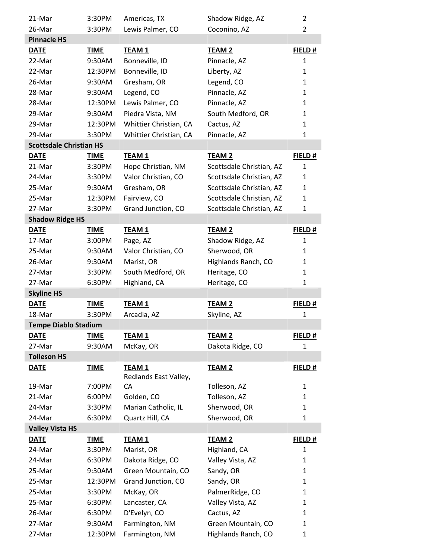| 21-Mar                         | 3:30PM            | Americas, TX                     | Shadow Ridge, AZ                          | 2            |
|--------------------------------|-------------------|----------------------------------|-------------------------------------------|--------------|
| 26-Mar                         | 3:30PM            | Lewis Palmer, CO                 | Coconino, AZ                              | 2            |
| <b>Pinnacle HS</b>             |                   |                                  |                                           |              |
| <b>DATE</b>                    | <b>TIME</b>       | <b>TEAM 1</b>                    | <b>TEAM 2</b>                             | FIELD #      |
| 22-Mar                         | 9:30AM            | Bonneville, ID                   | Pinnacle, AZ                              | $\mathbf{1}$ |
| 22-Mar                         | 12:30PM           | Bonneville, ID                   | Liberty, AZ                               | $\mathbf{1}$ |
| 26-Mar                         | 9:30AM            | Gresham, OR                      | Legend, CO                                | 1            |
| 28-Mar                         | 9:30AM            | Legend, CO                       | Pinnacle, AZ                              | $\mathbf{1}$ |
| 28-Mar                         | 12:30PM           | Lewis Palmer, CO                 | Pinnacle, AZ                              | $\mathbf{1}$ |
| 29-Mar                         | 9:30AM            | Piedra Vista, NM                 | South Medford, OR                         | $\mathbf{1}$ |
| 29-Mar                         | 12:30PM           | Whittier Christian, CA           | Cactus, AZ                                | 1            |
| 29-Mar                         | 3:30PM            | Whittier Christian, CA           | Pinnacle, AZ                              | 1            |
| <b>Scottsdale Christian HS</b> |                   |                                  |                                           |              |
| <b>DATE</b>                    | <b>TIME</b>       | <b>TEAM 1</b>                    | <b>TEAM 2</b>                             | FIELD#       |
| 21-Mar                         | 3:30PM            | Hope Christian, NM               | Scottsdale Christian, AZ                  | $\mathbf{1}$ |
| 24-Mar                         | 3:30PM            | Valor Christian, CO              | Scottsdale Christian, AZ                  | $\mathbf{1}$ |
| 25-Mar                         | 9:30AM            | Gresham, OR                      | Scottsdale Christian, AZ                  | $\mathbf{1}$ |
| 25-Mar                         | 12:30PM           | Fairview, CO                     | Scottsdale Christian, AZ                  | $\mathbf{1}$ |
| 27-Mar                         | 3:30PM            | Grand Junction, CO               | Scottsdale Christian, AZ                  | 1            |
| <b>Shadow Ridge HS</b>         |                   |                                  |                                           |              |
| <b>DATE</b>                    | <b>TIME</b>       | <b>TEAM 1</b>                    | <b>TEAM 2</b>                             | FIELD#       |
| 17-Mar                         | 3:00PM            | Page, AZ                         | Shadow Ridge, AZ                          | 1            |
| 25-Mar                         | 9:30AM            | Valor Christian, CO              | Sherwood, OR                              | $\mathbf{1}$ |
| 26-Mar                         | 9:30AM            | Marist, OR                       | Highlands Ranch, CO                       | $\mathbf{1}$ |
| 27-Mar                         | 3:30PM            | South Medford, OR                | Heritage, CO                              | 1            |
|                                |                   |                                  |                                           |              |
| 27-Mar                         | 6:30PM            | Highland, CA                     | Heritage, CO                              | $\mathbf{1}$ |
| <b>Skyline HS</b>              |                   |                                  |                                           |              |
| <b>DATE</b>                    | <b>TIME</b>       | <b>TEAM 1</b>                    | <b>TEAM 2</b>                             | FIELD#       |
| 18-Mar                         | 3:30PM            | Arcadia, AZ                      | Skyline, AZ                               | 1            |
| <b>Tempe Diablo Stadium</b>    |                   |                                  |                                           |              |
| <b>DATE</b>                    | <b>TIME</b>       | <b>TEAM 1</b>                    | <b>TEAM 2</b>                             | FIELD#       |
| 27-Mar                         | 9:30AM            | McKay, OR                        | Dakota Ridge, CO                          | 1            |
| <b>Tolleson HS</b>             |                   |                                  |                                           |              |
| <b>DATE</b>                    | <b>TIME</b>       | <b>TEAM1</b>                     | <b>TEAM 2</b>                             | FIELD#       |
|                                |                   | Redlands East Valley,            |                                           |              |
| 19-Mar                         | 7:00PM            | CA                               | Tolleson, AZ                              | 1            |
| 21-Mar                         | 6:00PM            | Golden, CO                       | Tolleson, AZ                              | $\mathbf{1}$ |
| 24-Mar                         | 3:30PM            | Marian Catholic, IL              | Sherwood, OR                              | 1            |
| 24-Mar                         | 6:30PM            | Quartz Hill, CA                  | Sherwood, OR                              | 1            |
| <b>Valley Vista HS</b>         |                   |                                  |                                           |              |
| <b>DATE</b>                    | <b>TIME</b>       | <b>TEAM1</b>                     | <b>TEAM 2</b>                             | FIELD#       |
| 24-Mar                         | 3:30PM            | Marist, OR                       | Highland, CA                              | 1            |
| 24-Mar                         | 6:30PM            | Dakota Ridge, CO                 | Valley Vista, AZ                          | 1            |
| 25-Mar                         | 9:30AM            | Green Mountain, CO               | Sandy, OR                                 | 1            |
| 25-Mar                         | 12:30PM           | Grand Junction, CO               | Sandy, OR                                 | $\mathbf{1}$ |
| 25-Mar                         | 3:30PM            | McKay, OR                        | PalmerRidge, CO                           | 1            |
| 25-Mar                         | 6:30PM            | Lancaster, CA                    | Valley Vista, AZ                          | 1            |
| 26-Mar                         | 6:30PM            | D'Evelyn, CO                     | Cactus, AZ                                | 1            |
| 27-Mar<br>27-Mar               | 9:30AM<br>12:30PM | Farmington, NM<br>Farmington, NM | Green Mountain, CO<br>Highlands Ranch, CO | 1<br>1       |